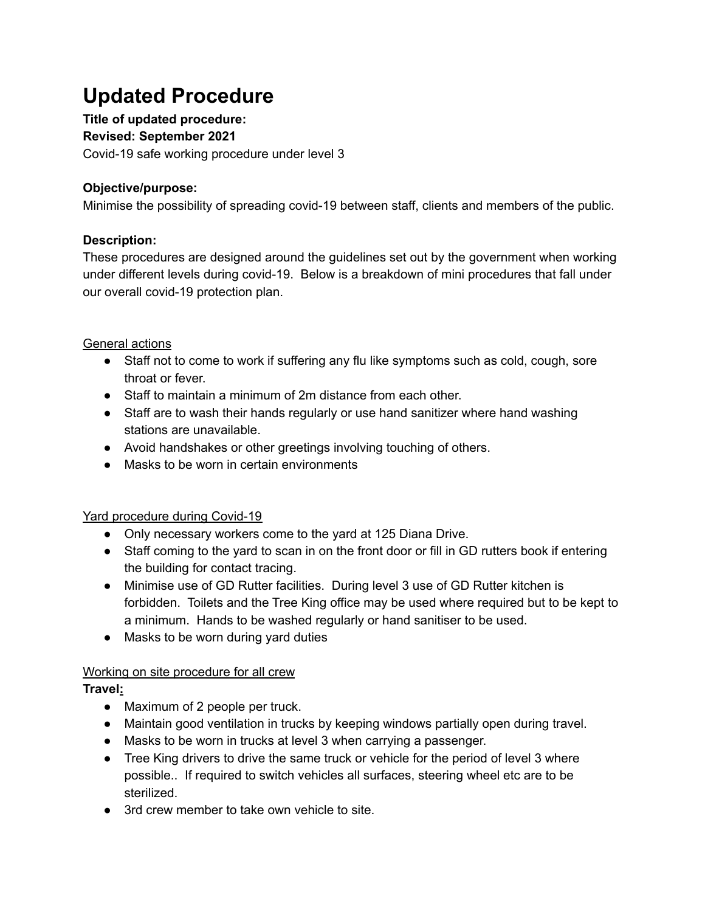# **Updated Procedure**

**Title of updated procedure:**

**Revised: September 2021**

Covid-19 safe working procedure under level 3

# **Objective/purpose:**

Minimise the possibility of spreading covid-19 between staff, clients and members of the public.

# **Description:**

These procedures are designed around the guidelines set out by the government when working under different levels during covid-19. Below is a breakdown of mini procedures that fall under our overall covid-19 protection plan.

# General actions

- Staff not to come to work if suffering any flu like symptoms such as cold, cough, sore throat or fever.
- Staff to maintain a minimum of 2m distance from each other.
- Staff are to wash their hands regularly or use hand sanitizer where hand washing stations are unavailable.
- Avoid handshakes or other greetings involving touching of others.
- Masks to be worn in certain environments

## Yard procedure during Covid-19

- Only necessary workers come to the yard at 125 Diana Drive.
- Staff coming to the yard to scan in on the front door or fill in GD rutters book if entering the building for contact tracing.
- Minimise use of GD Rutter facilities. During level 3 use of GD Rutter kitchen is forbidden. Toilets and the Tree King office may be used where required but to be kept to a minimum. Hands to be washed regularly or hand sanitiser to be used.
- Masks to be worn during yard duties

## Working on site procedure for all crew

## **Travel:**

- Maximum of 2 people per truck.
- Maintain good ventilation in trucks by keeping windows partially open during travel.
- Masks to be worn in trucks at level 3 when carrying a passenger.
- Tree King drivers to drive the same truck or vehicle for the period of level 3 where possible.. If required to switch vehicles all surfaces, steering wheel etc are to be sterilized.
- 3rd crew member to take own vehicle to site.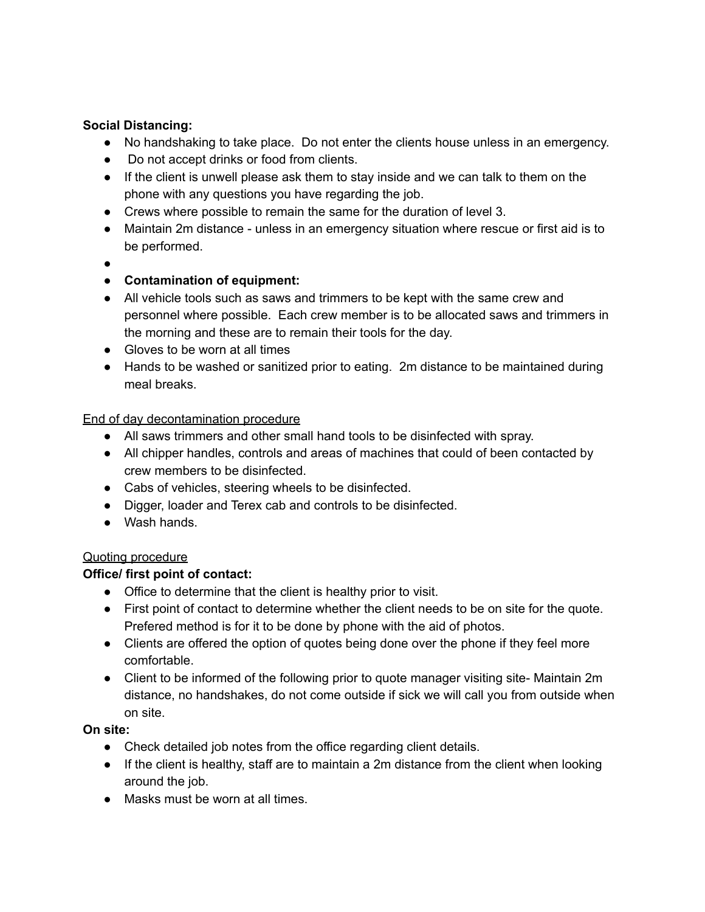## **Social Distancing:**

- No handshaking to take place. Do not enter the clients house unless in an emergency.
- Do not accept drinks or food from clients.
- If the client is unwell please ask them to stay inside and we can talk to them on the phone with any questions you have regarding the job.
- Crews where possible to remain the same for the duration of level 3.
- Maintain 2m distance unless in an emergency situation where rescue or first aid is to be performed.
- ●

# ● **Contamination of equipment:**

- All vehicle tools such as saws and trimmers to be kept with the same crew and personnel where possible. Each crew member is to be allocated saws and trimmers in the morning and these are to remain their tools for the day.
- Gloves to be worn at all times
- Hands to be washed or sanitized prior to eating. 2m distance to be maintained during meal breaks.

#### End of day decontamination procedure

- All saws trimmers and other small hand tools to be disinfected with spray.
- All chipper handles, controls and areas of machines that could of been contacted by crew members to be disinfected.
- Cabs of vehicles, steering wheels to be disinfected.
- Digger, loader and Terex cab and controls to be disinfected.
- Wash hands.

## Quoting procedure

## **Office/ first point of contact:**

- Office to determine that the client is healthy prior to visit.
- First point of contact to determine whether the client needs to be on site for the quote. Prefered method is for it to be done by phone with the aid of photos.
- Clients are offered the option of quotes being done over the phone if they feel more comfortable.
- Client to be informed of the following prior to quote manager visiting site- Maintain 2m distance, no handshakes, do not come outside if sick we will call you from outside when on site.

# **On site:**

- Check detailed job notes from the office regarding client details.
- If the client is healthy, staff are to maintain a 2m distance from the client when looking around the job.
- Masks must be worn at all times.